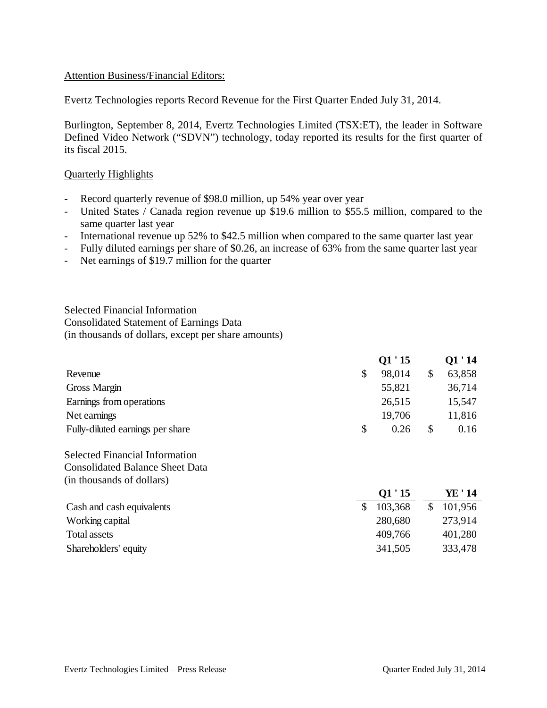#### Attention Business/Financial Editors:

Evertz Technologies reports Record Revenue for the First Quarter Ended July 31, 2014.

Burlington, September 8, 2014, Evertz Technologies Limited (TSX:ET), the leader in Software Defined Video Network ("SDVN") technology, today reported its results for the first quarter of its fiscal 2015.

#### Quarterly Highlights

- Record quarterly revenue of \$98.0 million, up 54% year over year
- United States / Canada region revenue up \$19.6 million to \$55.5 million, compared to the same quarter last year
- International revenue up 52% to \$42.5 million when compared to the same quarter last year
- Fully diluted earnings per share of \$0.26, an increase of 63% from the same quarter last year
- Net earnings of \$19.7 million for the quarter

Selected Financial Information Consolidated Statement of Earnings Data (in thousands of dollars, except per share amounts)

|                                  |   | Q1'15  | O1 ' 14    |
|----------------------------------|---|--------|------------|
| Revenue                          |   | 98,014 | 63,858     |
| Gross Margin                     |   | 55,821 | 36,714     |
| Earnings from operations         |   | 26,515 | 15,547     |
| Net earnings                     |   | 19,706 | 11,816     |
| Fully-diluted earnings per share | S | 0.26   | \$<br>0.16 |

Selected Financial Information Consolidated Balance Sheet Data (in thousands of dollars)

|                           | $\mathbf{u}$ 10 | 11 17     |
|---------------------------|-----------------|-----------|
| Cash and cash equivalents | 103,368         | \$101,956 |
| Working capital           | 280,680         | 273,914   |
| Total assets              | 409,766         | 401,280   |
| Shareholders' equity      | 341,505         | 333,478   |

**Q1 ' 15 YE ' 14**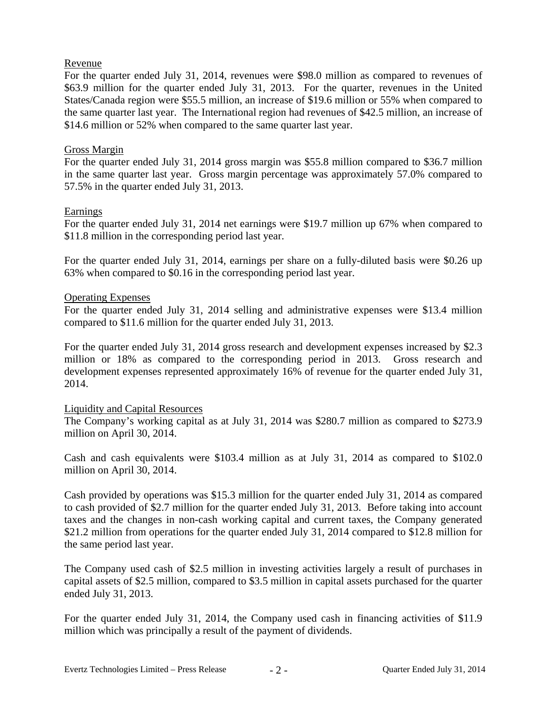## Revenue

For the quarter ended July 31, 2014, revenues were \$98.0 million as compared to revenues of \$63.9 million for the quarter ended July 31, 2013. For the quarter, revenues in the United States/Canada region were \$55.5 million, an increase of \$19.6 million or 55% when compared to the same quarter last year. The International region had revenues of \$42.5 million, an increase of \$14.6 million or 52% when compared to the same quarter last year.

## Gross Margin

For the quarter ended July 31, 2014 gross margin was \$55.8 million compared to \$36.7 million in the same quarter last year. Gross margin percentage was approximately 57.0% compared to 57.5% in the quarter ended July 31, 2013.

## Earnings

For the quarter ended July 31, 2014 net earnings were \$19.7 million up 67% when compared to \$11.8 million in the corresponding period last year.

For the quarter ended July 31, 2014, earnings per share on a fully-diluted basis were \$0.26 up 63% when compared to \$0.16 in the corresponding period last year.

## Operating Expenses

For the quarter ended July 31, 2014 selling and administrative expenses were \$13.4 million compared to \$11.6 million for the quarter ended July 31, 2013.

For the quarter ended July 31, 2014 gross research and development expenses increased by \$2.3 million or 18% as compared to the corresponding period in 2013. Gross research and development expenses represented approximately 16% of revenue for the quarter ended July 31, 2014.

#### Liquidity and Capital Resources

The Company's working capital as at July 31, 2014 was \$280.7 million as compared to \$273.9 million on April 30, 2014.

Cash and cash equivalents were \$103.4 million as at July 31, 2014 as compared to \$102.0 million on April 30, 2014.

Cash provided by operations was \$15.3 million for the quarter ended July 31, 2014 as compared to cash provided of \$2.7 million for the quarter ended July 31, 2013. Before taking into account taxes and the changes in non-cash working capital and current taxes, the Company generated \$21.2 million from operations for the quarter ended July 31, 2014 compared to \$12.8 million for the same period last year.

The Company used cash of \$2.5 million in investing activities largely a result of purchases in capital assets of \$2.5 million, compared to \$3.5 million in capital assets purchased for the quarter ended July 31, 2013.

For the quarter ended July 31, 2014, the Company used cash in financing activities of \$11.9 million which was principally a result of the payment of dividends.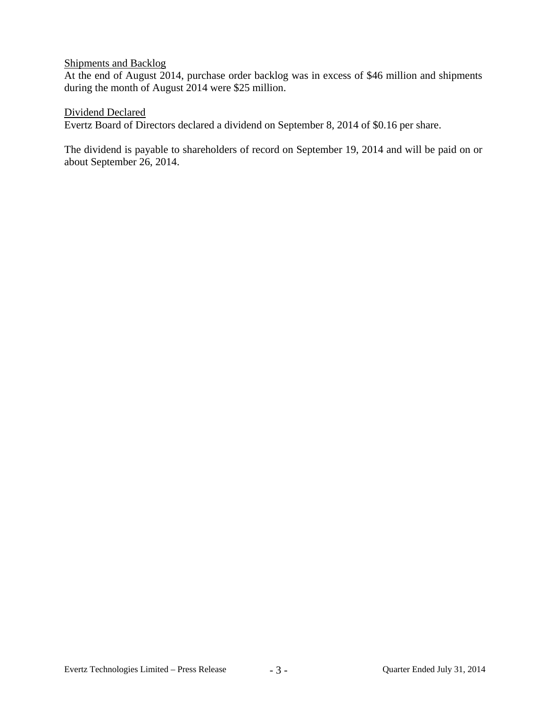## Shipments and Backlog

At the end of August 2014, purchase order backlog was in excess of \$46 million and shipments during the month of August 2014 were \$25 million.

Dividend Declared

Evertz Board of Directors declared a dividend on September 8, 2014 of \$0.16 per share.

The dividend is payable to shareholders of record on September 19, 2014 and will be paid on or about September 26, 2014.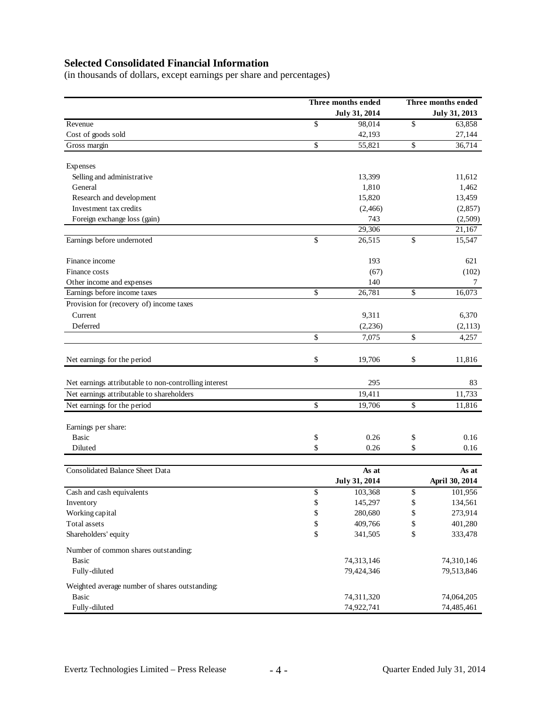# **Selected Consolidated Financial Information**

(in thousands of dollars, except earnings per share and percentages)

|                                                       | Three months ended     |               | Three months ended |  |
|-------------------------------------------------------|------------------------|---------------|--------------------|--|
|                                                       | July 31, 2014          | July 31, 2013 |                    |  |
| Revenue                                               | \$<br>98,014           | \$            | 63,858             |  |
| Cost of goods sold                                    | 42,193                 |               | 27,144             |  |
| Gross margin                                          | \$<br>55,821           | \$            | 36,714             |  |
| Expenses                                              |                        |               |                    |  |
| Selling and administrative                            | 13,399                 |               | 11,612             |  |
| General                                               | 1,810                  |               | 1,462              |  |
| Research and development                              | 15,820                 |               | 13,459             |  |
| Investment tax credits                                | (2,466)                |               | (2,857)            |  |
| Foreign exchange loss (gain)                          | 743                    |               | (2,509)            |  |
|                                                       | 29,306                 |               | 21,167             |  |
| Earnings before undernoted                            | \$<br>26,515           | \$            | 15,547             |  |
| Finance income                                        | 193                    |               | 621                |  |
| Finance costs                                         | (67)                   |               | (102)              |  |
| Other income and expenses                             | 140                    |               | 7                  |  |
| Earnings before income taxes                          | \$<br>26,781           | \$            | 16,073             |  |
| Provision for (recovery of) income taxes              |                        |               |                    |  |
| Current                                               | 9,311                  |               | 6,370              |  |
| Deferred                                              | (2,236)                |               | (2, 113)           |  |
|                                                       | \$<br>7,075            | \$            | 4,257              |  |
|                                                       |                        |               |                    |  |
| Net earnings for the period                           | \$<br>19,706           | \$            | 11,816             |  |
| Net earnings attributable to non-controlling interest | 295                    |               | 83                 |  |
| Net earnings attributable to shareholders             | 19,411                 |               | 11,733             |  |
| Net earnings for the period                           | \$<br>19,706           | \$            | 11,816             |  |
|                                                       |                        |               |                    |  |
| Earnings per share:                                   |                        |               |                    |  |
| <b>Basic</b>                                          | \$<br>0.26             | \$            | 0.16               |  |
| Diluted                                               | \$<br>0.26             | \$            | 0.16               |  |
| Consolidated Balance Sheet Data                       |                        |               | As at              |  |
|                                                       | As at<br>July 31, 2014 |               | April 30, 2014     |  |
| Cash and cash equivalents                             | \$<br>103,368          | \$            | 101,956            |  |
| Inventory                                             | \$<br>145,297          | \$            | 134,561            |  |
| Working capital                                       | \$<br>280,680          | \$            | 273,914            |  |
| Total assets                                          | \$<br>409,766          | \$            | 401,280            |  |
| Shareholders' equity                                  | \$<br>341,505          | \$            | 333,478            |  |
|                                                       |                        |               |                    |  |
| Number of common shares outstanding:                  |                        |               |                    |  |
| <b>Basic</b>                                          | 74,313,146             |               | 74,310,146         |  |
| Fully-diluted                                         | 79,424,346             |               | 79,513,846         |  |
| Weighted average number of shares outstanding:        |                        |               |                    |  |
| <b>Basic</b>                                          | 74,311,320             |               | 74,064,205         |  |
| Fully-diluted                                         | 74,922,741             |               | 74,485,461         |  |